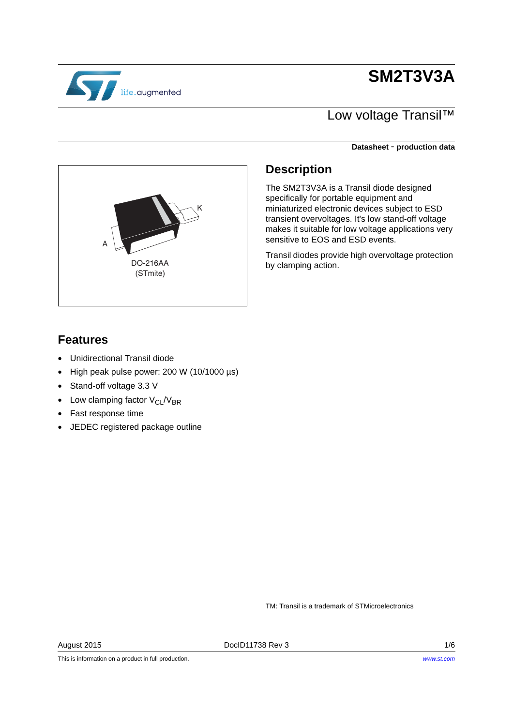# **SM2T3V3A**

# life.augmented

## Low voltage Transil™

**Datasheet** - **production data**



### **Description**

The SM2T3V3A is a Transil diode designed specifically for portable equipment and miniaturized electronic devices subject to ESD transient overvoltages. It's low stand-off voltage makes it suitable for low voltage applications very sensitive to EOS and ESD events.

Transil diodes provide high overvoltage protection by clamping action.

## **Features**

- Unidirectional Transil diode
- High peak pulse power: 200 W (10/1000 µs)
- Stand-off voltage 3.3 V
- Low clamping factor  $V_{CL}/V_{BR}$
- Fast response time
- JEDEC registered package outline

TM: Transil is a trademark of STMicroelectronics

August 2015 DocID11738 Rev 3 1/6

This is information on a product in full production.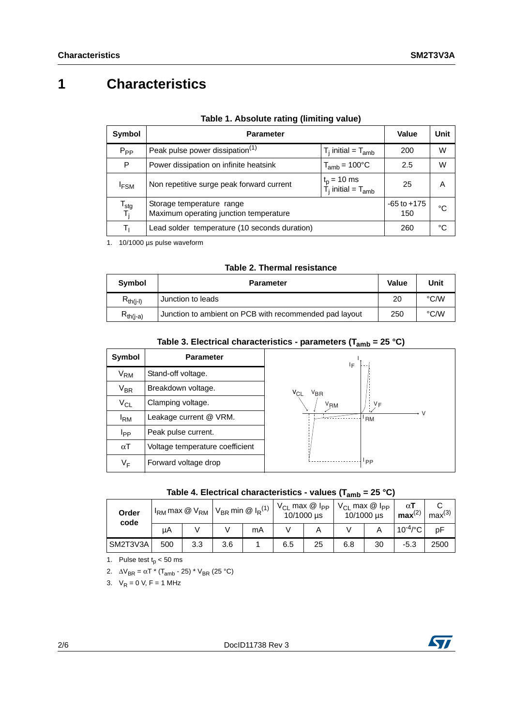# **1 Characteristics**

| Symbol                             | <b>Parameter</b>                                                    | Value                                            | <b>Unit</b>            |    |
|------------------------------------|---------------------------------------------------------------------|--------------------------------------------------|------------------------|----|
| $P_{PP}$                           | Peak pulse power dissipation <sup>(1)</sup>                         | $T_i$ initial = $T_{amb}$                        | 200                    | W  |
| P                                  | Power dissipation on infinite heatsink                              | $T_{amb}$ = 100 $^{\circ}$ C                     | 2.5                    | W  |
| <b>IFSM</b>                        | Non repetitive surge peak forward current                           | $t_p = 10$ ms<br>$\dot{T}_i$ initial = $T_{amb}$ | 25                     | Α  |
| T <sub>stg</sub><br>T <sub>i</sub> | Storage temperature range<br>Maximum operating junction temperature |                                                  | $-65$ to $+175$<br>150 | °C |
|                                    | Lead solder temperature (10 seconds duration)                       |                                                  | 260                    | °C |

1. 10/1000 µs pulse waveform

|  |  |  | Table 2. Thermal resistance |
|--|--|--|-----------------------------|
|--|--|--|-----------------------------|

| Symbol        | <b>Parameter</b>                                       | <b>Value</b> | Unit |
|---------------|--------------------------------------------------------|--------------|------|
| $R_{th(i-l)}$ | l Junction to leads                                    | 20           | °C/W |
| $R_{th(i-a)}$ | Junction to ambient on PCB with recommended pad layout |              | °C/W |

| Symbol            | <b>Parameter</b>                | ΙF                          |
|-------------------|---------------------------------|-----------------------------|
| $V_{\mathsf{RM}}$ | Stand-off voltage.              |                             |
| $V_{BR}$          | Breakdown voltage.              | $V_{CL}$<br>V <sub>BR</sub> |
| $V_{CL}$          | Clamping voltage.               | $V_F$<br>V <sub>RM</sub>    |
| $I_{\rm RM}$      | Leakage current @ VRM.          | V<br><b>RM</b>              |
| <b>I</b> pp       | Peak pulse current.             |                             |
| $\alpha$ T        | Voltage temperature coefficient |                             |
| V <sub>F</sub>    | Forward voltage drop            | 'PP                         |

| Table 4. Electrical characteristics - values ( $T_{amb}$ = 25 °C) |  |  |  |
|-------------------------------------------------------------------|--|--|--|
|-------------------------------------------------------------------|--|--|--|

| Order<br>code | $I_{RM}$ max $@V_{RM}$ |     | $V_{\text{BR}}$ min @ I <sub>R</sub> <sup>(1)</sup> |    | $V_{CL}$ max $@$ l <sub>PP</sub><br>10/1000 µs |    | $V_{CL}$ max $@$ $I_{PP}$<br>10/1000 µs |    | αι<br>max <sup>(2)</sup> | max <sup>(3)</sup> |
|---------------|------------------------|-----|-----------------------------------------------------|----|------------------------------------------------|----|-----------------------------------------|----|--------------------------|--------------------|
|               | μA                     |     |                                                     | mA |                                                |    |                                         |    | $10^{-4}$ /°C            | pF                 |
| SM2T3V3A      | 500                    | 3.3 | 3.6                                                 |    | 6.5                                            | 25 | 6.8                                     | 30 | $-5.3$                   | 2500               |

1. Pulse test  $t_p < 50$  ms

2.  $\Delta V_{\text{BR}} = \alpha T^* (T_{\text{amb}} - 25)^* V_{\text{BR}} (25 \text{ °C})$ 

3.  $V_R = 0$  V, F = 1 MHz



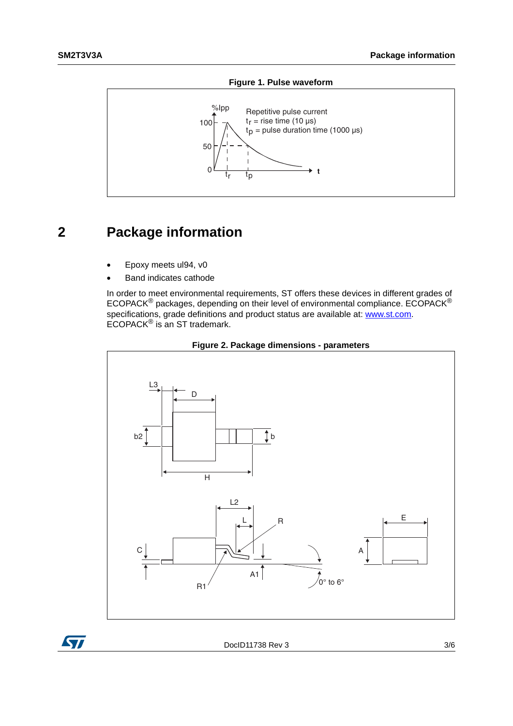

#### **Figure 1. Pulse waveform**

## **2 Package information**

- Epoxy meets ul94, v0
- Band indicates cathode

In order to meet environmental requirements, ST offers these devices in different grades of ECOPACK® packages, depending on their level of environmental compliance. ECOPACK® specifications, grade definitions and product status are available at: **[www.st.com](http://www.st.com)**. ECOPACK® is an ST trademark.





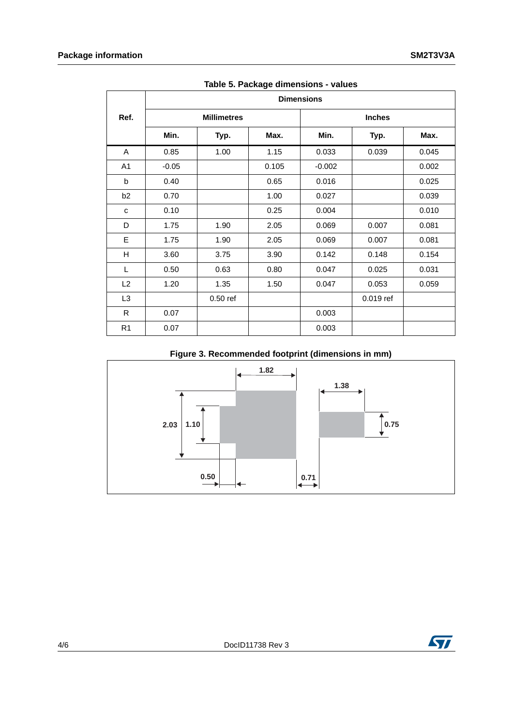|                | <b>Dimensions</b> |                    |       |          |               |       |  |  |  |
|----------------|-------------------|--------------------|-------|----------|---------------|-------|--|--|--|
| Ref.           |                   | <b>Millimetres</b> |       |          | <b>Inches</b> |       |  |  |  |
|                | Min.              | Typ.               | Max.  | Min.     | Typ.          | Max.  |  |  |  |
| Α              | 0.85              | 1.00               | 1.15  | 0.033    | 0.039         | 0.045 |  |  |  |
| A <sub>1</sub> | $-0.05$           |                    | 0.105 | $-0.002$ |               | 0.002 |  |  |  |
| b              | 0.40              |                    | 0.65  | 0.016    |               | 0.025 |  |  |  |
| b <sub>2</sub> | 0.70              |                    | 1.00  | 0.027    |               | 0.039 |  |  |  |
| с              | 0.10              |                    | 0.25  | 0.004    |               | 0.010 |  |  |  |
| D              | 1.75              | 1.90               | 2.05  | 0.069    | 0.007         | 0.081 |  |  |  |
| E              | 1.75              | 1.90               | 2.05  | 0.069    | 0.007         | 0.081 |  |  |  |
| H              | 3.60              | 3.75               | 3.90  | 0.142    | 0.148         | 0.154 |  |  |  |
| L              | 0.50              | 0.63               | 0.80  | 0.047    | 0.025         | 0.031 |  |  |  |
| L2             | 1.20              | 1.35               | 1.50  | 0.047    | 0.053         | 0.059 |  |  |  |
| L <sub>3</sub> |                   | $0.50$ ref         |       |          | 0.019 ref     |       |  |  |  |
| R              | 0.07              |                    |       | 0.003    |               |       |  |  |  |
| R <sub>1</sub> | 0.07              |                    |       | 0.003    |               |       |  |  |  |

**Table 5. Package dimensions - values**

#### **Figure 3. Recommended footprint (dimensions in mm)**



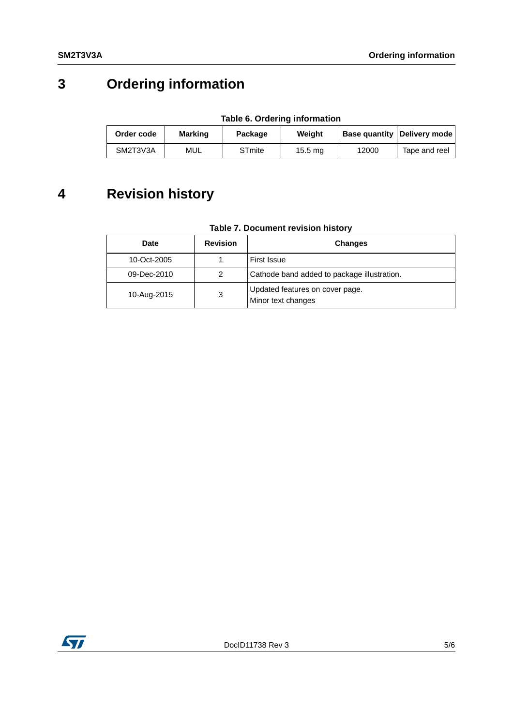# **3 Ordering information**

| Table 6. Ordering information |         |               |         |       |                               |  |
|-------------------------------|---------|---------------|---------|-------|-------------------------------|--|
| Order code                    | Marking | Package       | Weiaht  |       | Base quantity   Delivery mode |  |
| SM2T3V3A                      | MUL     | <b>STmite</b> | 15.5 mg | 12000 | Tape and reel                 |  |

**Table 6. Ordering information**

## **4 Revision history**

| Table 7. Document revision history |
|------------------------------------|
|------------------------------------|

| Date        | <b>Revision</b> | <b>Changes</b>                                        |
|-------------|-----------------|-------------------------------------------------------|
| 10-Oct-2005 |                 | First Issue                                           |
| 09-Dec-2010 | 2               | Cathode band added to package illustration.           |
| 10-Aug-2015 | 3               | Updated features on cover page.<br>Minor text changes |